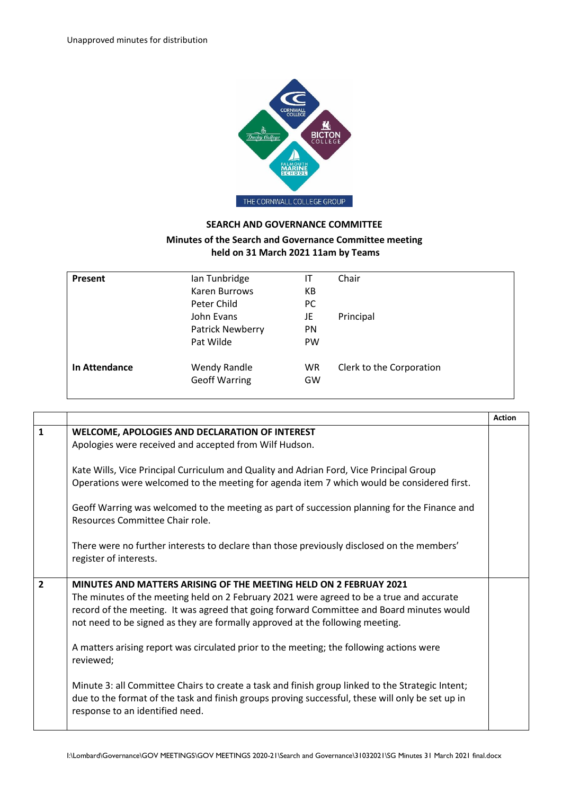

## **SEARCH AND GOVERNANCE COMMITTEE**

## **Minutes of the Search and Governance Committee meeting held on 31 March 2021 11am by Teams**

| Ian Tunbridge                               | ΙT            | Chair                    |
|---------------------------------------------|---------------|--------------------------|
| Karen Burrows                               | КB            |                          |
| Peter Child                                 | <sub>PC</sub> |                          |
| John Evans                                  | JE            | Principal                |
| Patrick Newberry                            | <b>PN</b>     |                          |
| Pat Wilde                                   | <b>PW</b>     |                          |
| <b>Wendy Randle</b><br><b>Geoff Warring</b> | WR<br>GW      | Clerk to the Corporation |
|                                             |               |                          |

|                |                                                                                                                                                                                                                                                                                                                                                                                                                                                      | <b>Action</b> |
|----------------|------------------------------------------------------------------------------------------------------------------------------------------------------------------------------------------------------------------------------------------------------------------------------------------------------------------------------------------------------------------------------------------------------------------------------------------------------|---------------|
| $\mathbf{1}$   | WELCOME, APOLOGIES AND DECLARATION OF INTEREST<br>Apologies were received and accepted from Wilf Hudson.                                                                                                                                                                                                                                                                                                                                             |               |
|                | Kate Wills, Vice Principal Curriculum and Quality and Adrian Ford, Vice Principal Group<br>Operations were welcomed to the meeting for agenda item 7 which would be considered first.                                                                                                                                                                                                                                                                |               |
|                | Geoff Warring was welcomed to the meeting as part of succession planning for the Finance and<br>Resources Committee Chair role.                                                                                                                                                                                                                                                                                                                      |               |
|                | There were no further interests to declare than those previously disclosed on the members'<br>register of interests.                                                                                                                                                                                                                                                                                                                                 |               |
| $\overline{2}$ | MINUTES AND MATTERS ARISING OF THE MEETING HELD ON 2 FEBRUAY 2021<br>The minutes of the meeting held on 2 February 2021 were agreed to be a true and accurate<br>record of the meeting. It was agreed that going forward Committee and Board minutes would<br>not need to be signed as they are formally approved at the following meeting.<br>A matters arising report was circulated prior to the meeting; the following actions were<br>reviewed; |               |
|                | Minute 3: all Committee Chairs to create a task and finish group linked to the Strategic Intent;<br>due to the format of the task and finish groups proving successful, these will only be set up in<br>response to an identified need.                                                                                                                                                                                                              |               |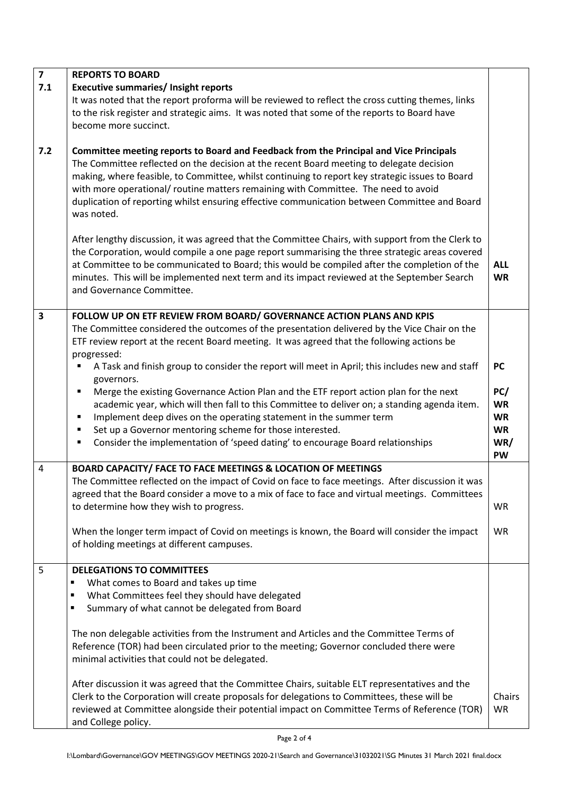| $\overline{\mathbf{z}}$<br>7.1 | <b>REPORTS TO BOARD</b><br><b>Executive summaries/ Insight reports</b><br>It was noted that the report proforma will be reviewed to reflect the cross cutting themes, links<br>to the risk register and strategic aims. It was noted that some of the reports to Board have<br>become more succinct.                                                                                                                                                                                                                                                                                                                                                                                                                                                                                                                               |                                                                             |
|--------------------------------|------------------------------------------------------------------------------------------------------------------------------------------------------------------------------------------------------------------------------------------------------------------------------------------------------------------------------------------------------------------------------------------------------------------------------------------------------------------------------------------------------------------------------------------------------------------------------------------------------------------------------------------------------------------------------------------------------------------------------------------------------------------------------------------------------------------------------------|-----------------------------------------------------------------------------|
| 7.2                            | Committee meeting reports to Board and Feedback from the Principal and Vice Principals<br>The Committee reflected on the decision at the recent Board meeting to delegate decision<br>making, where feasible, to Committee, whilst continuing to report key strategic issues to Board<br>with more operational/ routine matters remaining with Committee. The need to avoid<br>duplication of reporting whilst ensuring effective communication between Committee and Board<br>was noted.                                                                                                                                                                                                                                                                                                                                          |                                                                             |
|                                | After lengthy discussion, it was agreed that the Committee Chairs, with support from the Clerk to<br>the Corporation, would compile a one page report summarising the three strategic areas covered<br>at Committee to be communicated to Board; this would be compiled after the completion of the<br>minutes. This will be implemented next term and its impact reviewed at the September Search<br>and Governance Committee.                                                                                                                                                                                                                                                                                                                                                                                                    | <b>ALL</b><br><b>WR</b>                                                     |
| 3                              | FOLLOW UP ON ETF REVIEW FROM BOARD/ GOVERNANCE ACTION PLANS AND KPIS<br>The Committee considered the outcomes of the presentation delivered by the Vice Chair on the<br>ETF review report at the recent Board meeting. It was agreed that the following actions be<br>progressed:<br>A Task and finish group to consider the report will meet in April; this includes new and staff<br>governors.<br>Merge the existing Governance Action Plan and the ETF report action plan for the next<br>٠<br>academic year, which will then fall to this Committee to deliver on; a standing agenda item.<br>Implement deep dives on the operating statement in the summer term<br>٠<br>Set up a Governor mentoring scheme for those interested.<br>٠<br>Consider the implementation of 'speed dating' to encourage Board relationships<br>٠ | <b>PC</b><br>PC/<br><b>WR</b><br><b>WR</b><br><b>WR</b><br>WR/<br><b>PW</b> |
| 4                              | BOARD CAPACITY/ FACE TO FACE MEETINGS & LOCATION OF MEETINGS<br>The Committee reflected on the impact of Covid on face to face meetings. After discussion it was<br>agreed that the Board consider a move to a mix of face to face and virtual meetings. Committees<br>to determine how they wish to progress.<br>When the longer term impact of Covid on meetings is known, the Board will consider the impact<br>of holding meetings at different campuses.                                                                                                                                                                                                                                                                                                                                                                      | <b>WR</b><br><b>WR</b>                                                      |
| 5                              | <b>DELEGATIONS TO COMMITTEES</b><br>What comes to Board and takes up time<br>٠<br>What Committees feel they should have delegated<br>٠<br>Summary of what cannot be delegated from Board<br>٠<br>The non delegable activities from the Instrument and Articles and the Committee Terms of<br>Reference (TOR) had been circulated prior to the meeting; Governor concluded there were<br>minimal activities that could not be delegated.<br>After discussion it was agreed that the Committee Chairs, suitable ELT representatives and the<br>Clerk to the Corporation will create proposals for delegations to Committees, these will be<br>reviewed at Committee alongside their potential impact on Committee Terms of Reference (TOR)<br>and College policy.                                                                    | Chairs<br>WR                                                                |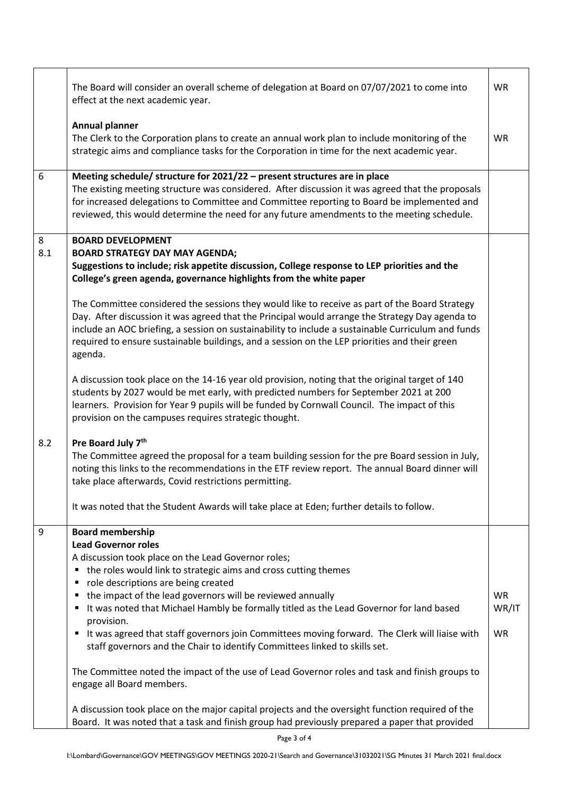|          | The Board will consider an overall scheme of delegation at Board on 07/07/2021 to come into<br>effect at the next academic year.                                                                                                                                                                                                                                                                                    | <b>WR</b>          |
|----------|---------------------------------------------------------------------------------------------------------------------------------------------------------------------------------------------------------------------------------------------------------------------------------------------------------------------------------------------------------------------------------------------------------------------|--------------------|
|          | <b>Annual planner</b><br>The Clerk to the Corporation plans to create an annual work plan to include monitoring of the<br>strategic aims and compliance tasks for the Corporation in time for the next academic year.                                                                                                                                                                                               | <b>WR</b>          |
| 6        | Meeting schedule/ structure for 2021/22 - present structures are in place<br>The existing meeting structure was considered. After discussion it was agreed that the proposals<br>for increased delegations to Committee and Committee reporting to Board be implemented and<br>reviewed, this would determine the need for any future amendments to the meeting schedule.                                           |                    |
| 8<br>8.1 | <b>BOARD DEVELOPMENT</b><br><b>BOARD STRATEGY DAY MAY AGENDA;</b><br>Suggestions to include; risk appetite discussion, College response to LEP priorities and the<br>College's green agenda, governance highlights from the white paper                                                                                                                                                                             |                    |
|          | The Committee considered the sessions they would like to receive as part of the Board Strategy<br>Day. After discussion it was agreed that the Principal would arrange the Strategy Day agenda to<br>include an AOC briefing, a session on sustainability to include a sustainable Curriculum and funds<br>required to ensure sustainable buildings, and a session on the LEP priorities and their green<br>agenda. |                    |
|          | A discussion took place on the 14-16 year old provision, noting that the original target of 140<br>students by 2027 would be met early, with predicted numbers for September 2021 at 200<br>learners. Provision for Year 9 pupils will be funded by Cornwall Council. The impact of this<br>provision on the campuses requires strategic thought.                                                                   |                    |
| 8.2      | Pre Board July 7 <sup>th</sup><br>The Committee agreed the proposal for a team building session for the pre Board session in July,<br>noting this links to the recommendations in the ETF review report. The annual Board dinner will<br>take place afterwards, Covid restrictions permitting.                                                                                                                      |                    |
|          | It was noted that the Student Awards will take place at Eden; further details to follow.                                                                                                                                                                                                                                                                                                                            |                    |
| 9        | <b>Board membership</b><br><b>Lead Governor roles</b><br>A discussion took place on the Lead Governor roles;<br>the roles would link to strategic aims and cross cutting themes<br>role descriptions are being created<br>the impact of the lead governors will be reviewed annually<br>It was noted that Michael Hambly be formally titled as the Lead Governor for land based<br>п<br>provision.                  | <b>WR</b><br>WR/IT |
|          | It was agreed that staff governors join Committees moving forward. The Clerk will liaise with<br>staff governors and the Chair to identify Committees linked to skills set.                                                                                                                                                                                                                                         | <b>WR</b>          |
|          | The Committee noted the impact of the use of Lead Governor roles and task and finish groups to<br>engage all Board members.                                                                                                                                                                                                                                                                                         |                    |
|          | A discussion took place on the major capital projects and the oversight function required of the<br>Board. It was noted that a task and finish group had previously prepared a paper that provided                                                                                                                                                                                                                  |                    |

٦